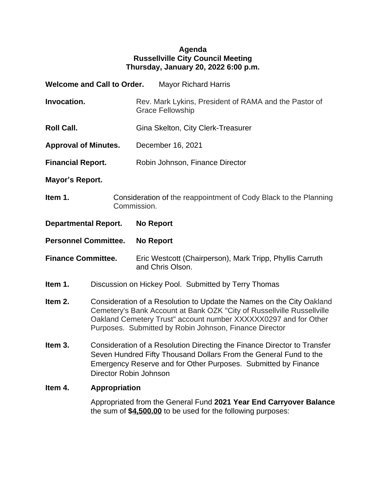## **Agenda Russellville City Council Meeting Thursday, January 20, 2022 6:00 p.m.**

|                             | <b>Welcome and Call to Order.</b>                                                                                                                                                                                                                                            | <b>Mayor Richard Harris</b>                                                      |  |
|-----------------------------|------------------------------------------------------------------------------------------------------------------------------------------------------------------------------------------------------------------------------------------------------------------------------|----------------------------------------------------------------------------------|--|
| Invocation.                 |                                                                                                                                                                                                                                                                              | Rev. Mark Lykins, President of RAMA and the Pastor of<br><b>Grace Fellowship</b> |  |
| <b>Roll Call.</b>           |                                                                                                                                                                                                                                                                              | Gina Skelton, City Clerk-Treasurer                                               |  |
| <b>Approval of Minutes.</b> |                                                                                                                                                                                                                                                                              | December 16, 2021                                                                |  |
| <b>Financial Report.</b>    |                                                                                                                                                                                                                                                                              | Robin Johnson, Finance Director                                                  |  |
| Mayor's Report.             |                                                                                                                                                                                                                                                                              |                                                                                  |  |
| Item 1.                     | Consideration of the reappointment of Cody Black to the Planning<br>Commission.                                                                                                                                                                                              |                                                                                  |  |
| <b>Departmental Report.</b> |                                                                                                                                                                                                                                                                              | <b>No Report</b>                                                                 |  |
| <b>Personnel Committee.</b> |                                                                                                                                                                                                                                                                              | <b>No Report</b>                                                                 |  |
| <b>Finance Committee.</b>   |                                                                                                                                                                                                                                                                              | Eric Westcott (Chairperson), Mark Tripp, Phyllis Carruth<br>and Chris Olson.     |  |
| Item 1.                     | Discussion on Hickey Pool. Submitted by Terry Thomas                                                                                                                                                                                                                         |                                                                                  |  |
| Item 2.                     | Consideration of a Resolution to Update the Names on the City Oakland<br>Cemetery's Bank Account at Bank OZK "City of Russellville Russellville<br>Oakland Cemetery Trust" account number XXXXXX0297 and for Other<br>Purposes. Submitted by Robin Johnson, Finance Director |                                                                                  |  |
| Item 3.                     | Consideration of a Resolution Directing the Finance Director to Transfer<br>Seven Hundred Fifty Thousand Dollars From the General Fund to the<br>Emergency Reserve and for Other Purposes. Submitted by Finance<br>Director Robin Johnson                                    |                                                                                  |  |
| Item 4.                     | <b>Appropriation</b>                                                                                                                                                                                                                                                         |                                                                                  |  |

Appropriated from the General Fund **2021 Year End Carryover Balance** the sum of **\$4,500.00** to be used for the following purposes: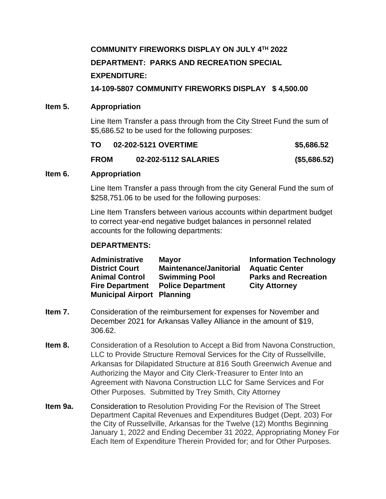# **COMMUNITY FIREWORKS DISPLAY ON JULY 4TH 2022 DEPARTMENT: PARKS AND RECREATION SPECIAL EXPENDITURE:**

**14-109-5807 COMMUNITY FIREWORKS DISPLAY \$ 4,500.00**

## **Item 5. Appropriation**

Line Item Transfer a pass through from the City Street Fund the sum of \$5,686.52 to be used for the following purposes:

| TO.         | 02-202-5121 OVERTIME | \$5,686.52   |
|-------------|----------------------|--------------|
| <b>FROM</b> | 02-202-5112 SALARIES | (\$5,686.52) |

#### **Item 6. Appropriation**

Line Item Transfer a pass through from the city General Fund the sum of \$258,751.06 to be used for the following purposes:

Line Item Transfers between various accounts within department budget to correct year-end negative budget balances in personnel related accounts for the following departments:

## **DEPARTMENTS:**

| <b>Administrative</b>             | <b>Mayor</b>                  | <b>Information Technology</b> |
|-----------------------------------|-------------------------------|-------------------------------|
| <b>District Court</b>             | <b>Maintenance/Janitorial</b> | <b>Aquatic Center</b>         |
| <b>Animal Control</b>             | <b>Swimming Pool</b>          | <b>Parks and Recreation</b>   |
| <b>Fire Department</b>            | <b>Police Department</b>      | <b>City Attorney</b>          |
| <b>Municipal Airport Planning</b> |                               |                               |

- **Item 7.** Consideration of the reimbursement for expenses for November and December 2021 for Arkansas Valley Alliance in the amount of \$19, 306.62.
- **Item 8.** Consideration of a Resolution to Accept a Bid from Navona Construction, LLC to Provide Structure Removal Services for the City of Russellville, Arkansas for Dilapidated Structure at 816 South Greenwich Avenue and Authorizing the Mayor and City Clerk-Treasurer to Enter Into an Agreement with Navona Construction LLC for Same Services and For Other Purposes. Submitted by Trey Smith, City Attorney
- **Item 9a.** Consideration to Resolution Providing For the Revision of The Street Department Capital Revenues and Expenditures Budget (Dept. 203) For the City of Russellville, Arkansas for the Twelve (12) Months Beginning January 1, 2022 and Ending December 31 2022, Appropriating Money For Each Item of Expenditure Therein Provided for; and for Other Purposes.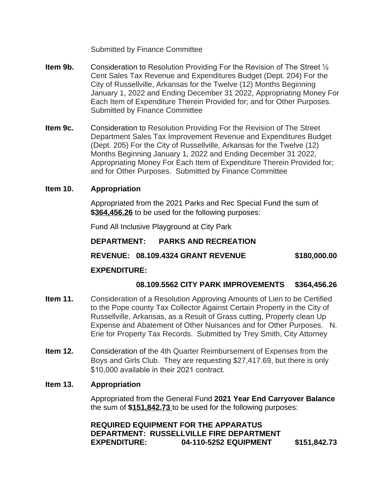Submitted by Finance Committee

- **Item 9b.** Consideration to Resolution Providing For the Revision of The Street <sup>1/2</sup> Cent Sales Tax Revenue and Expenditures Budget (Dept. 204) For the City of Russellville, Arkansas for the Twelve (12) Months Beginning January 1, 2022 and Ending December 31 2022, Appropriating Money For Each Item of Expenditure Therein Provided for; and for Other Purposes. Submitted by Finance Committee
- **Item 9c.** Consideration to Resolution Providing For the Revision of The Street Department Sales Tax Improvement Revenue and Expenditures Budget (Dept. 205) For the City of Russellville, Arkansas for the Twelve (12) Months Beginning January 1, 2022 and Ending December 31 2022, Appropriating Money For Each Item of Expenditure Therein Provided for; and for Other Purposes. Submitted by Finance Committee

#### **Item 10. Appropriation**

Appropriated from the 2021 Parks and Rec Special Fund the sum of **\$364,456.26** to be used for the following purposes:

Fund All Inclusive Playground at City Park

**DEPARTMENT: PARKS AND RECREATION**

#### **REVENUE: 08.109.4324 GRANT REVENUE \$180,000.00**

# **EXPENDITURE:**

#### **08.109.5562 CITY PARK IMPROVEMENTS \$364,456.26**

- **Item 11.** Consideration of a Resolution Approving Amounts of Lien to be Certified to the Pope county Tax Collector Against Certain Property in the City of Russellville, Arkansas, as a Result of Grass cutting, Property clean Up Expense and Abatement of Other Nuisances and for Other Purposes. N. Erie for Property Tax Records. Submitted by Trey Smith, City Attorney
- **Item 12.** Consideration of the 4th Quarter Reimbursement of Expenses from the Boys and Girls Club. They are requesting \$27,417.69, but there is only \$10,000 available in their 2021 contract.

#### **Item 13. Appropriation**

Appropriated from the General Fund **2021 Year End Carryover Balance** the sum of **\$151,842.73** to be used for the following purposes:

**REQUIRED EQUIPMENT FOR THE APPARATUS DEPARTMENT: RUSSELLVILLE FIRE DEPARTMENT EXPENDITURE: 04-110-5252 EQUIPMENT \$151,842.73**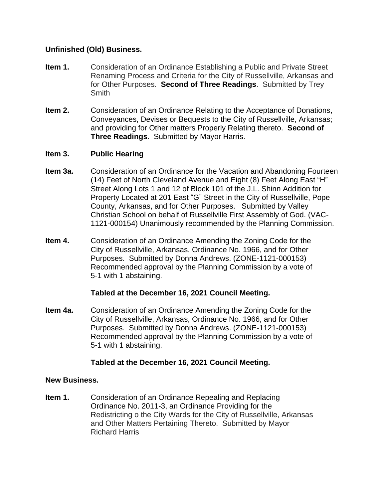## **Unfinished (Old) Business.**

- **Item 1.** Consideration of an Ordinance Establishing a Public and Private Street Renaming Process and Criteria for the City of Russellville, Arkansas and for Other Purposes. **Second of Three Readings**. Submitted by Trey **Smith**
- **Item 2.** Consideration of an Ordinance Relating to the Acceptance of Donations, Conveyances, Devises or Bequests to the City of Russellville, Arkansas; and providing for Other matters Properly Relating thereto. **Second of Three Readings**. Submitted by Mayor Harris.

#### **Item 3. Public Hearing**

- **Item 3a.** Consideration of an Ordinance for the Vacation and Abandoning Fourteen (14) Feet of North Cleveland Avenue and Eight (8) Feet Along East "H" Street Along Lots 1 and 12 of Block 101 of the J.L. Shinn Addition for Property Located at 201 East "G" Street in the City of Russellville, Pope County, Arkansas, and for Other Purposes. Submitted by Valley Christian School on behalf of Russellville First Assembly of God. (VAC-1121-000154) Unanimously recommended by the Planning Commission.
- **Item 4.** Consideration of an Ordinance Amending the Zoning Code for the City of Russellville, Arkansas, Ordinance No. 1966, and for Other Purposes. Submitted by Donna Andrews. (ZONE-1121-000153) Recommended approval by the Planning Commission by a vote of 5-1 with 1 abstaining.

#### **Tabled at the December 16, 2021 Council Meeting.**

**Item 4a.** Consideration of an Ordinance Amending the Zoning Code for the City of Russellville, Arkansas, Ordinance No. 1966, and for Other Purposes. Submitted by Donna Andrews. (ZONE-1121-000153) Recommended approval by the Planning Commission by a vote of 5-1 with 1 abstaining.

#### **Tabled at the December 16, 2021 Council Meeting.**

#### **New Business.**

**Item 1.** Consideration of an Ordinance Repealing and Replacing Ordinance No. 2011-3, an Ordinance Providing for the Redistricting o the City Wards for the City of Russellville, Arkansas and Other Matters Pertaining Thereto. Submitted by Mayor Richard Harris